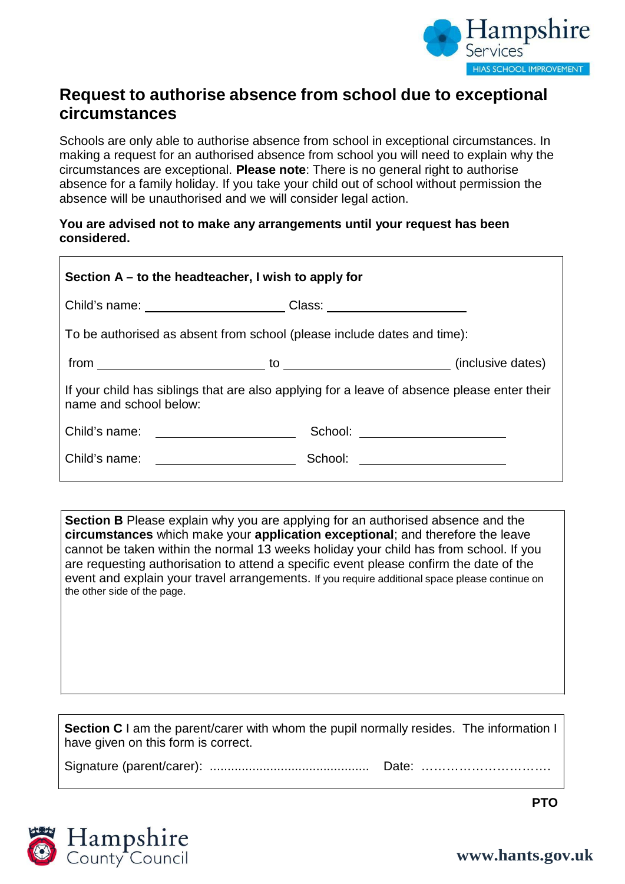

## **Request to authorise absence from school due to exceptional circumstances**

Schools are only able to authorise absence from school in exceptional circumstances. In making a request for an authorised absence from school you will need to explain why the circumstances are exceptional. **Please note**: There is no general right to authorise absence for a family holiday. If you take your child out of school without permission the absence will be unauthorised and we will consider legal action.

## **You are advised not to make any arrangements until your request has been considered.**

| Section $A - to$ the headteacher, I wish to apply for                                                                 |                                |  |
|-----------------------------------------------------------------------------------------------------------------------|--------------------------------|--|
| Child's name: __________________________Class: _________________________________                                      |                                |  |
| To be authorised as absent from school (please include dates and time):                                               |                                |  |
|                                                                                                                       |                                |  |
| If your child has siblings that are also applying for a leave of absence please enter their<br>name and school below: |                                |  |
|                                                                                                                       | School: ______________________ |  |
| Child's name: _______________________                                                                                 | School: ______________________ |  |

**Section B** Please explain why you are applying for an authorised absence and the **circumstances** which make your **application exceptional**; and therefore the leave cannot be taken within the normal 13 weeks holiday your child has from school. If you are requesting authorisation to attend a specific event please confirm the date of the event and explain your travel arrangements. If you require additional space please continue on the other side of the page.

**Section C** I am the parent/carer with whom the pupil normally resides. The information I have given on this form is correct.

Signature (parent/carer): ............................................. Date: ………………………….





**[www.hants.gov.uk](http://www.hants.gov.uk/)**